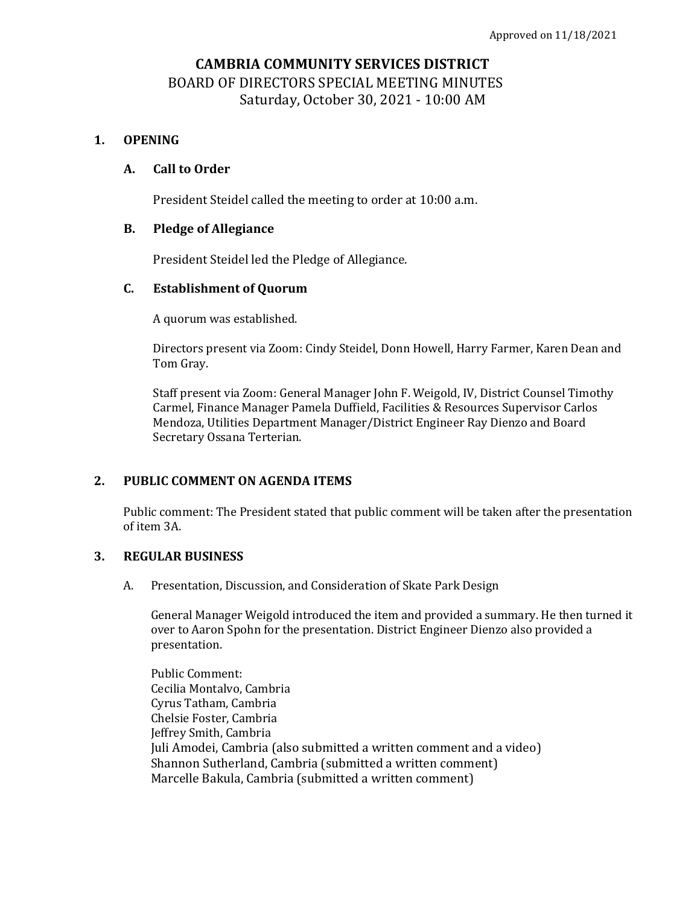# **CAMBRIA COMMUNITY SERVICES DISTRICT** BOARD OF DIRECTORS SPECIAL MEETING MINUTES Saturday, October 30, 2021 - 10:00 AM

## **1. OPENING**

## **A. Call to Order**

President Steidel called the meeting to order at 10:00 a.m.

## **B. Pledge of Allegiance**

President Steidel led the Pledge of Allegiance.

## **C. Establishment of Quorum**

A quorum was established.

Directors present via Zoom: Cindy Steidel, Donn Howell, Harry Farmer, Karen Dean and Tom Gray.

Staff present via Zoom: General Manager John F. Weigold, IV, District Counsel Timothy Carmel, Finance Manager Pamela Duffield, Facilities & Resources Supervisor Carlos Mendoza, Utilities Department Manager/District Engineer Ray Dienzo and Board Secretary Ossana Terterian.

## **2. PUBLIC COMMENT ON AGENDA ITEMS**

Public comment: The President stated that public comment will be taken after the presentation of item 3A.

### **3. REGULAR BUSINESS**

A. Presentation, Discussion, and Consideration of Skate Park Design

General Manager Weigold introduced the item and provided a summary. He then turned it over to Aaron Spohn for the presentation. District Engineer Dienzo also provided a presentation.

Public Comment: Cecilia Montalvo, Cambria Cyrus Tatham, Cambria Chelsie Foster, Cambria Jeffrey Smith, Cambria Juli Amodei, Cambria (also submitted a written comment and a video) Shannon Sutherland, Cambria (submitted a written comment) Marcelle Bakula, Cambria (submitted a written comment)